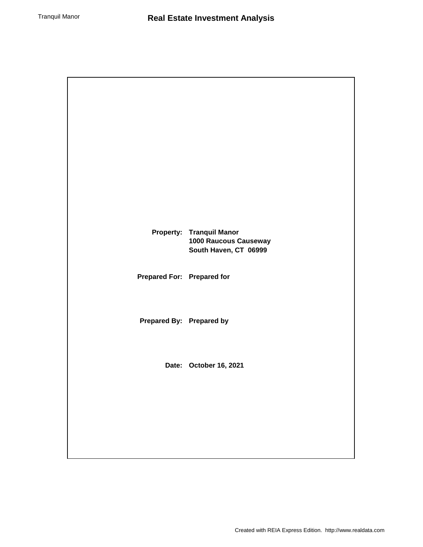|                            | <b>Property: Tranquil Manor</b><br>1000 Raucous Causeway<br>South Haven, CT 06999 |
|----------------------------|-----------------------------------------------------------------------------------|
| Prepared For: Prepared for |                                                                                   |
| Prepared By: Prepared by   |                                                                                   |
|                            | Date: October 16, 2021                                                            |
|                            |                                                                                   |
|                            |                                                                                   |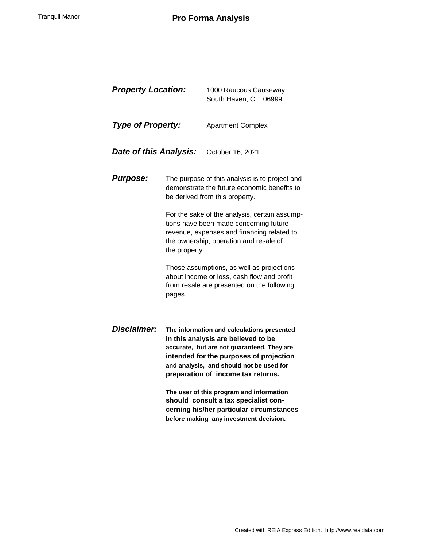# Tranquil Manor **Pro Forma Analysis**

| <b>Property Location:</b> |                                                                                                                                                                                                  | 1000 Raucous Causeway<br>South Haven, CT 06999                                                                                                                                                                                                               |  |  |
|---------------------------|--------------------------------------------------------------------------------------------------------------------------------------------------------------------------------------------------|--------------------------------------------------------------------------------------------------------------------------------------------------------------------------------------------------------------------------------------------------------------|--|--|
| <b>Type of Property:</b>  |                                                                                                                                                                                                  | <b>Apartment Complex</b>                                                                                                                                                                                                                                     |  |  |
| Date of this Analysis:    |                                                                                                                                                                                                  | October 16, 2021                                                                                                                                                                                                                                             |  |  |
| <b>Purpose:</b>           |                                                                                                                                                                                                  | The purpose of this analysis is to project and<br>demonstrate the future economic benefits to<br>be derived from this property.                                                                                                                              |  |  |
|                           | For the sake of the analysis, certain assump-<br>tions have been made concerning future<br>revenue, expenses and financing related to<br>the ownership, operation and resale of<br>the property. |                                                                                                                                                                                                                                                              |  |  |
|                           | Those assumptions, as well as projections<br>about income or loss, cash flow and profit<br>from resale are presented on the following<br>pages.                                                  |                                                                                                                                                                                                                                                              |  |  |
| Disclaimer:               |                                                                                                                                                                                                  | The information and calculations presented<br>in this analysis are believed to be<br>accurate, but are not guaranteed. They are<br>intended for the purposes of projection<br>and analysis, and should not be used for<br>preparation of income tax returns. |  |  |

**The user of this program and information should consult a tax specialist concerning his/her particular circumstances before making any investment decision.**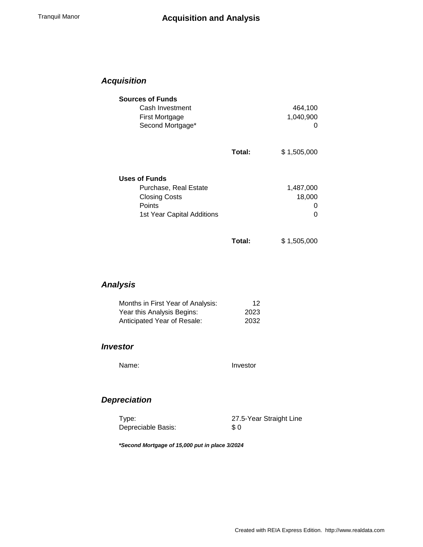## *Acquisition*

| <b>Sources of Funds</b>    |        |             |
|----------------------------|--------|-------------|
| Cash Investment            |        | 464,100     |
| First Mortgage             |        | 1,040,900   |
| Second Mortgage*           |        |             |
|                            | Total: | \$1,505,000 |
| <b>Uses of Funds</b>       |        |             |
| Purchase, Real Estate      |        | 1,487,000   |
| <b>Closing Costs</b>       |        | 18,000      |
| Points                     |        |             |
| 1st Year Capital Additions |        | ი           |
|                            | Total: | \$1,505,000 |

*Analysis*

| Months in First Year of Analysis: | 12   |
|-----------------------------------|------|
| Year this Analysis Begins:        | 2023 |
| Anticipated Year of Resale:       | 2032 |

#### *Investor*

Name: Investor

## *Depreciation*

Depreciable Basis:

Type: 27.5-Year Straight Line \$ 0

*\*Second Mortgage of 15,000 put in place 3/2024*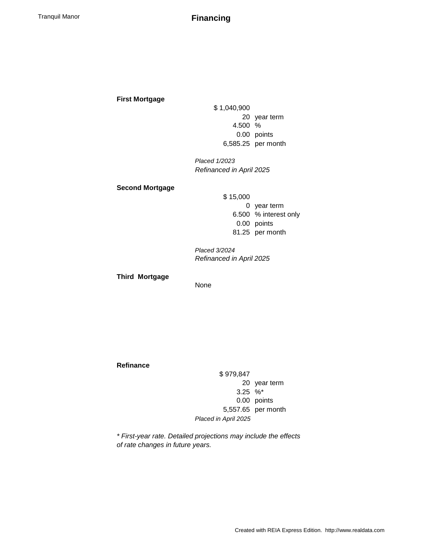Tranquil Manor **Financing**

#### **First Mortgage**

\$ 1,040,900 20 year term 4.500 % 0.00 points 6,585.25 per month

*Placed 1/2023 Refinanced in April 2025*

#### **Second Mortgage**

\$ 15,000 0 year term 6.500 % interest only 0.00 points 81.25 per month

*Placed 3/2024 Refinanced in April 2025*

**Third Mortgage**

None

#### **Refinance**

\$ 979,847 20 year term 3.25 %\* 0.00 points 5,557.65 per month *Placed in April 2025*

*\* First-year rate. Detailed projections may include the effects of rate changes in future years.*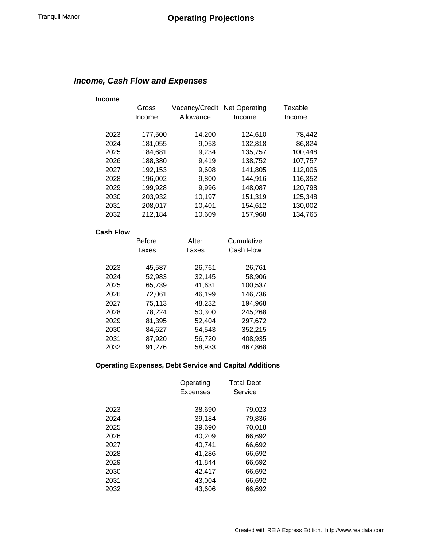## *Income, Cash Flow and Expenses*

#### **Income**

| Gross   |           |         | Taxable                      |
|---------|-----------|---------|------------------------------|
| Income  | Allowance | Income  | Income                       |
|         |           |         |                              |
| 177,500 | 14,200    | 124,610 | 78,442                       |
| 181,055 | 9,053     | 132,818 | 86,824                       |
| 184,681 | 9,234     | 135,757 | 100,448                      |
| 188,380 | 9,419     | 138,752 | 107,757                      |
| 192,153 | 9,608     | 141,805 | 112,006                      |
| 196,002 | 9,800     | 144,916 | 116,352                      |
| 199,928 | 9,996     | 148,087 | 120,798                      |
| 203,932 | 10,197    | 151,319 | 125,348                      |
| 208,017 | 10,401    | 154,612 | 130,002                      |
| 212,184 | 10,609    | 157,968 | 134,765                      |
|         |           |         | Vacancy/Credit Net Operating |

#### **Cash Flow**

|      | <b>Before</b> | After  | Cumulative |  |
|------|---------------|--------|------------|--|
|      | Taxes         | Taxes  | Cash Flow  |  |
|      |               |        |            |  |
| 2023 | 45,587        | 26,761 | 26,761     |  |
| 2024 | 52,983        | 32,145 | 58,906     |  |
| 2025 | 65,739        | 41,631 | 100,537    |  |
| 2026 | 72,061        | 46,199 | 146,736    |  |
| 2027 | 75,113        | 48,232 | 194,968    |  |
| 2028 | 78,224        | 50.300 | 245,268    |  |
| 2029 | 81,395        | 52,404 | 297,672    |  |
| 2030 | 84,627        | 54,543 | 352,215    |  |
| 2031 | 87,920        | 56,720 | 408,935    |  |
| 2032 | 91,276        | 58,933 | 467.868    |  |

### **Operating Expenses, Debt Service and Capital Additions**

|      | Operating<br>Expenses | <b>Total Debt</b><br>Service |
|------|-----------------------|------------------------------|
| 2023 | 38.690                | 79.023                       |
| 2024 | 39,184                | 79,836                       |
| 2025 | 39,690                | 70.018                       |
| 2026 | 40,209                | 66,692                       |
| 2027 | 40.741                | 66,692                       |
| 2028 | 41.286                | 66.692                       |
| 2029 | 41,844                | 66,692                       |
| 2030 | 42.417                | 66,692                       |
| 2031 | 43.004                | 66.692                       |
| 2032 | 43.606                | 66.692                       |